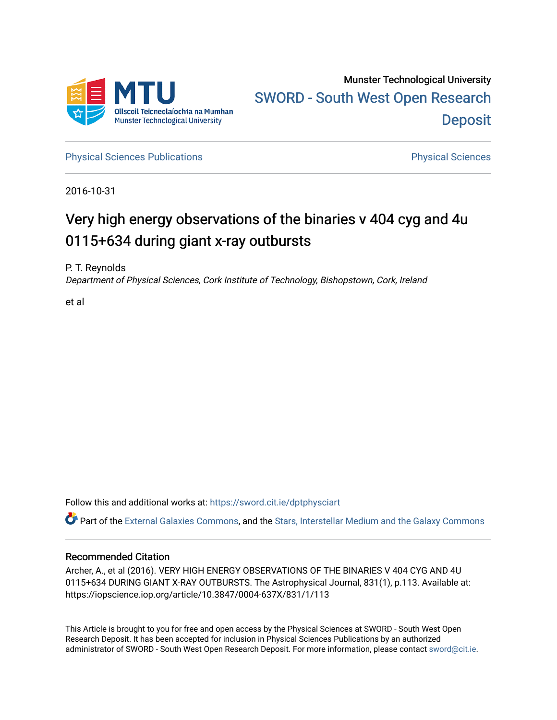

[Physical Sciences Publications](https://sword.cit.ie/dptphysciart) **Physical Sciences** Physical Sciences

2016-10-31

# Very high energy observations of the binaries v 404 cyg and 4u 0115+634 during giant x-ray outbursts

P. T. Reynolds Department of Physical Sciences, Cork Institute of Technology, Bishopstown, Cork, Ireland

et al

Follow this and additional works at: [https://sword.cit.ie/dptphysciart](https://sword.cit.ie/dptphysciart?utm_source=sword.cit.ie%2Fdptphysciart%2F90&utm_medium=PDF&utm_campaign=PDFCoverPages)

Part of the [External Galaxies Commons](http://network.bepress.com/hgg/discipline/128?utm_source=sword.cit.ie%2Fdptphysciart%2F90&utm_medium=PDF&utm_campaign=PDFCoverPages), and the Stars, Interstellar Medium and the Galaxy Commons

## Recommended Citation

Archer, A., et al (2016). VERY HIGH ENERGY OBSERVATIONS OF THE BINARIES V 404 CYG AND 4U 0115+634 DURING GIANT X-RAY OUTBURSTS. The Astrophysical Journal, 831(1), p.113. Available at: https://iopscience.iop.org/article/10.3847/0004-637X/831/1/113

This Article is brought to you for free and open access by the Physical Sciences at SWORD - South West Open Research Deposit. It has been accepted for inclusion in Physical Sciences Publications by an authorized administrator of SWORD - South West Open Research Deposit. For more information, please contact [sword@cit.ie.](mailto:sword@cit.ie)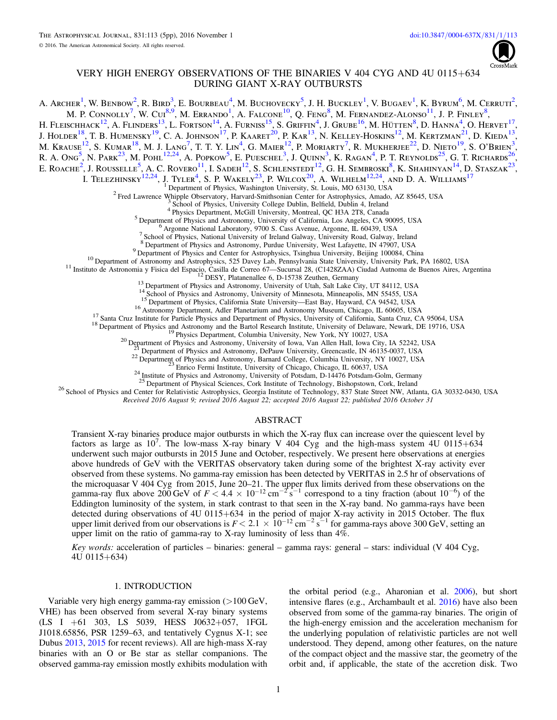

### VERY HIGH ENERGY OBSERVATIONS OF THE BINARIES V 404 CYG AND 4U 0115+634 DURING GIANT X-RAY OUTBURSTS

A. Archer<sup>[1](#page-1-0)</sup>, W. Benbow<sup>[2](#page-1-1)</sup>, R. Bird<sup>[3](#page-1-2)</sup>, E. Bourbeau<sup>[4](#page-1-3)</sup>, M. Buchovecky<sup>[5](#page-1-4)</sup>, J. H. Buckley<sup>1</sup>, V. Bugaev<sup>1</sup>, K. Byrum<sup>[6](#page-1-5)</sup>, M. Cerruti<sup>2</sup>, M. P. Connolly<sup>[7](#page-1-6)</sup>, W. Cui<sup>[8,](#page-1-7)[9](#page-1-8)</sup>, M. Errando<sup>[1](#page-1-0)</sup>, A. Falcone<sup>[10](#page-1-9)</sup>, O. Feng<sup>[8](#page-1-7)</sup>, M. Fernandez-Alonso<sup>[11](#page-1-10)</sup>, J. P. Finley<sup>8</sup>, H. Fleischhack<sup>[12](#page-1-11)</sup>, A. Flinders<sup>[13](#page-1-12)</sup>, L. Fortson<sup>[14](#page-1-13)</sup>, A. Furniss<sup>[15](#page-1-14)</sup>, S. Griffin<sup>[4](#page-1-3)</sup>, J. Grube<sup>[16](#page-1-15)</sup>, M. Hütten<sup>[8](#page-1-7)</sup>, D. Hanna<sup>4</sup>, O. Hervet<sup>[17](#page-1-16)</sup>, J. Holder<sup>[18](#page-1-17)</sup>, T. B. Humensky<sup>[19](#page-1-18)</sup>, C. A. Johnson<sup>[17](#page-1-16)</sup>, P. Kaaret<sup>[20](#page-1-19)</sup>, P. Kar<sup>[13](#page-1-12)</sup>, N. Kelley-Hoskins<sup>[12](#page-1-11)</sup>, M. Kertzman<sup>[21](#page-1-20)</sup>, D. Kieda<sup>13</sup>, M. Krause $^{12}$  $^{12}$  $^{12}$ , S. Kumar $^{18}$  $^{18}$  $^{18}$ , M. J. Lang $^7$  $^7$ , T. T. Y. Lin $^4$  $^4$ , G. Maier $^{12}$ , P. Moriarty $^7$ , R. Mukherjee $^{22}$  $^{22}$  $^{22}$ , D. Nieto $^{19}$  $^{19}$  $^{19}$ , S. O'Brien $^3$  $^3$ , R. A. Ong<sup>[5](#page-1-4)</sup>, N. Park<sup>[23](#page-1-22)</sup>, M. Pohl<sup>[12,](#page-1-11)[24](#page-1-23)</sup>, A. Popkow<sup>5</sup>, E. Pueschel<sup>[3](#page-1-2)</sup>, J. Ouinn<sup>3</sup>, K. Ragan<sup>[4](#page-1-3)</sup>, P. T. Reynolds<sup>[25](#page-1-24)</sup>, G. T. Richards<sup>[26](#page-1-25)</sup>, E. ROACHE<sup>[2](#page-1-1)</sup>, J. ROUSSELLE<sup>[5](#page-1-4)</sup>, A. C. ROVERO<sup>[11](#page-1-10)</sup>, I. Sadeh<sup>[12](#page-1-11)</sup>, S. Schlenstedt<sup>12</sup>, G. H. Sembroski<sup>[8](#page-1-7)</sup>, K. Shahinyan<sup>[14](#page-1-13)</sup>, D. Staszak<sup>[23](#page-1-22)</sup>, I. Telezhinsky<sup>[12,](#page-1-11)[24](#page-1-23)</sup>, J. Tyler<sup>[4](#page-1-3)</sup>, S. P. Wakely<sup>[23](#page-1-22)</sup>, P. Wilcox<sup>[20](#page-1-19)</sup>, A. Wilhelm<sup>12,24</sup>, and D. A. Williams<sup>[17](#page-1-16)</sup>

The Department of Physics, Washington University, St. Louis, MO 63130, USA<br>
<sup>2</sup> Fred Lawrence Whipple Observatory, Harvard-Smithsonian Center for Astrophysics, Amado, AZ 85645, USA<br>
<sup>3</sup> School of Physics, University Colleg

<span id="page-1-14"></span><span id="page-1-13"></span><span id="page-1-12"></span><span id="page-1-11"></span><span id="page-1-10"></span><span id="page-1-9"></span>

<span id="page-1-8"></span><span id="page-1-7"></span><span id="page-1-6"></span><span id="page-1-5"></span><span id="page-1-4"></span><span id="page-1-3"></span><span id="page-1-2"></span><span id="page-1-1"></span><span id="page-1-0"></span><sup>7</sup> School of Physics, National University of Ireland Galway, University Road, Galway, Ireland<br>
<sup>8</sup> Separtment of Physics and Astronomy, Purdue University, Nest Lafagette, IN 47907, USA<br>
<sup>9</sup> Department of Physics and Cent

<span id="page-1-18"></span><span id="page-1-17"></span><span id="page-1-16"></span><span id="page-1-15"></span>

<span id="page-1-25"></span><span id="page-1-24"></span><span id="page-1-23"></span><span id="page-1-22"></span><span id="page-1-21"></span><span id="page-1-20"></span><span id="page-1-19"></span><sup>26</sup> School of Physics and Center for Relativistic Astrophysics, Georgia Institute of Technology, 837 State Street NW, Atlanta, GA 30332-0430, USA Received 2016 August 9; revised 2016 August 22; accepted 2016 August 22; published 2016 October 31

#### ABSTRACT

Transient X-ray binaries produce major outbursts in which the X-ray flux can increase over the quiescent level by factors as large as  $10^7$ . The low-mass X-ray binary V 404 Cyg and the high-mass system 4U 0115+634 underwent such major outbursts in 2015 June and October, respectively. We present here observations at energies above hundreds of GeV with the VERITAS observatory taken during some of the brightest X-ray activity ever observed from these systems. No gamma-ray emission has been detected by VERITAS in 2.5 hr of observations of the microquasar V 404 Cyg from 2015, June 20–21. The upper flux limits derived from these observations on the gamma-ray flux above 200 GeV of  $F < 4.4 \times 10^{-12}$  cm<sup>-2</sup> s<sup>-1</sup> correspond to a tiny fraction (about 10<sup>-6</sup>) of the Eddington luminosity of the system, in stark contrast to that seen in the X-ray band. No gamma-rays have been detected during observations of 4U 0115+634 in the period of major X-ray activity in 2015 October. The flux upper limit derived from our observations is  $F < 2.1 \times 10^{-12}$  cm<sup>-2</sup> s<sup>-1</sup> for gamma-rays above 300 GeV, setting an upper limit on the ratio of gamma-ray to X-ray luminosity of less than 4%.

Key words: acceleration of particles – binaries: general – gamma rays: general – stars: individual (V 404 Cyg, 4U 0115+634)

#### 1. INTRODUCTION

Variable very high energy gamma-ray emission (>100 GeV, VHE) has been observed from several X-ray binary systems (LS I +61 303, LS 5039, HESS J0632+057, 1FGL J1018.65856, PSR 1259–63, and tentatively Cygnus X-1; see Dubus [2013](#page-5-0), [2015](#page-5-1) for recent reviews). All are high-mass X-ray binaries with an O or Be star as stellar companions. The observed gamma-ray emission mostly exhibits modulation with

the orbital period (e.g., Aharonian et al. [2006](#page-5-2)), but short intensive flares (e.g., Archambault et al. [2016](#page-5-3)) have also been observed from some of the gamma-ray binaries. The origin of the high-energy emission and the acceleration mechanism for the underlying population of relativistic particles are not well understood. They depend, among other features, on the nature of the compact object and the massive star, the geometry of the orbit and, if applicable, the state of the accretion disk. Two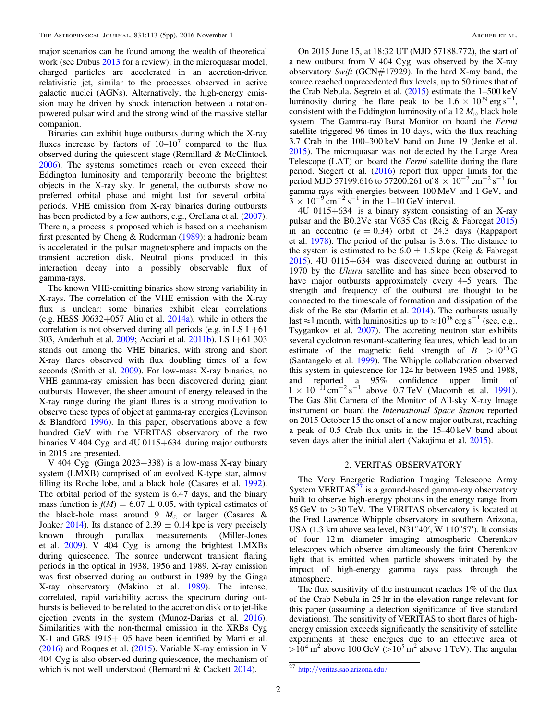major scenarios can be found among the wealth of theoretical work (see Dubus [2013](#page-5-0) for a review): in the microquasar model, charged particles are accelerated in an accretion-driven relativistic jet, similar to the processes observed in active galactic nuclei (AGNs). Alternatively, the high-energy emission may be driven by shock interaction between a rotationpowered pulsar wind and the strong wind of the massive stellar companion.

Binaries can exhibit huge outbursts during which the X-ray fluxes increase by factors of  $10-10^7$  compared to the flux observed during the quiescent stage (Remillard & McClintock [2006](#page-5-4)). The systems sometimes reach or even exceed their Eddington luminosity and temporarily become the brightest objects in the X-ray sky. In general, the outbursts show no preferred orbital phase and might last for several orbital periods. VHE emission from X-ray binaries during outbursts has been predicted by a few authors, e.g., Orellana et al.  $(2007)$  $(2007)$  $(2007)$ . Therein, a process is proposed which is based on a mechanism first presented by Cheng & Ruderman ([1989](#page-5-6)): a hadronic beam is accelerated in the pulsar magnetosphere and impacts on the transient accretion disk. Neutral pions produced in this interaction decay into a possibly observable flux of gamma-rays.

The known VHE-emitting binaries show strong variability in X-rays. The correlation of the VHE emission with the X-ray flux is unclear: some binaries exhibit clear correlations (e.g. HESS J0632+057 Aliu et al.  $2014a$ ), while in others the correlation is not observed during all periods (e.g. in LS  $I +61$ 303, Anderhub et al. [2009;](#page-5-8) Acciari et al. [2011b](#page-5-9)). LS I+61 303 stands out among the VHE binaries, with strong and short X-ray flares observed with flux doubling times of a few seconds (Smith et al. [2009](#page-5-10)). For low-mass X-ray binaries, no VHE gamma-ray emission has been discovered during giant outbursts. However, the sheer amount of energy released in the X-ray range during the giant flares is a strong motivation to observe these types of object at gamma-ray energies (Levinson & Blandford [1996](#page-5-11)). In this paper, observations above a few hundred GeV with the VERITAS observatory of the two binaries V 404 Cyg and 4U 0115+634 during major outbursts in 2015 are presented.

V 404 Cyg (Ginga 2023+338) is a low-mass X-ray binary system (LMXB) comprised of an evolved K-type star, almost filling its Roche lobe, and a black hole (Casares et al. [1992](#page-5-12)). The orbital period of the system is 6.47 days, and the binary mass function is  $f(M) = 6.07 \pm 0.05$ , with typical estimates of the black-hole mass around 9  $M_{\odot}$  or larger (Casares & Jonker [2014](#page-5-13)). Its distance of 2.39  $\pm$  0.14 kpc is very precisely known through parallax measurements (Miller-Jones et al. [2009](#page-5-14)). V 404 Cyg is among the brightest LMXBs during quiescence. The source underwent transient flaring periods in the optical in 1938, 1956 and 1989. X-ray emission was first observed during an outburst in 1989 by the Ginga X-ray observatory (Makino et al. [1989](#page-5-15)). The intense, correlated, rapid variability across the spectrum during outbursts is believed to be related to the accretion disk or to jet-like ejection events in the system (Munoz-Darias et al. [2016](#page-5-16)). Similarities with the non-thermal emission in the XRBs Cyg X-1 and GRS 1915+105 have been identified by Marti et al. ([2016](#page-5-17)) and Roques et al. ([2015](#page-5-18)). Variable X-ray emission in V 404 Cyg is also observed during quiescence, the mechanism of which is not well understood (Bernardini & Cackett [2014](#page-5-19)).

On 2015 June 15, at 18:32 UT (MJD 57188.772), the start of a new outburst from V 404 Cyg was observed by the X-ray observatory Swift (GCN#17929). In the hard X-ray band, the source reached unprecedented flux levels, up to 50 times that of the Crab Nebula. Segreto et al. ([2015](#page-5-20)) estimate the 1–500 keV luminosity during the flare peak to be  $1.6 \times 10^{39}$  erg s<sup>-1</sup>, consistent with the Eddington luminosity of a 12  $M_{\odot}$  black hole system. The Gamma-ray Burst Monitor on board the Fermi satellite triggered 96 times in 10 days, with the flux reaching 3.7 Crab in the 100–300 keV band on June 19 (Jenke et al. [2015](#page-5-21)). The microquasar was not detected by the Large Area Telescope (LAT) on board the *Fermi* satellite during the flare period. Siegert et al. ([2016](#page-5-22)) report flux upper limits for the period MJD 57199.616 to 57200.261 of 8  $\times$  10<sup>-7</sup> cm<sup>-2</sup> s<sup>-1</sup> for gamma rays with energies between 100 MeV and 1 GeV, and  $\frac{3}{3} \times 10^{-9}$  cm<sup>-2</sup> s<sup>-1</sup> in the 1–10 GeV interval.

4U 0115+634 is a binary system consisting of an X-ray pulsar and the B0.2Ve star V635 Cas (Reig & Fabregat [2015](#page-5-23)) in an eccentric ( $e = 0.34$ ) orbit of 24.3 days (Rappaport et al. [1978](#page-5-24)). The period of the pulsar is 3.6 s. The distance to the system is estimated to be  $6.0 \pm 1.5$  kpc (Reig & Fabregat [2015](#page-5-23)). 4U 0115+634 was discovered during an outburst in 1970 by the Uhuru satellite and has since been observed to have major outbursts approximately every 4–5 years. The strength and frequency of the outburst are thought to be connected to the timescale of formation and dissipation of the disk of the Be star (Martin et al. [2014](#page-5-25)). The outbursts usually last ≈1 month, with luminosities up to ≈10<sup>38</sup> erg s<sup>-1</sup> (see, e.g., Tsygankov et al. [2007](#page-5-26)). The accreting neutron star exhibits several cyclotron resonant-scattering features, which lead to an estimate of the magnetic field strength of  $B > 10^{13}$  G (Santangelo et al. [1999](#page-5-27)). The Whipple collaboration observed this system in quiescence for 124 hr between 1985 and 1988, and reported a 95% confidence upper limit of  $1 \times 10^{-11}$  cm<sup>-2</sup> s<sup>-1</sup> above 0.7 TeV (Macomb et al. [1991](#page-5-28)). The Gas Slit Camera of the Monitor of All-sky X-ray Image instrument on board the International Space Station reported on 2015 October 15 the onset of a new major outburst, reaching a peak of 0.5 Crab flux units in the 15–40 keV band about seven days after the initial alert (Nakajima et al. [2015](#page-5-29)).

#### 2. VERITAS OBSERVATORY

The Very Energetic Radiation Imaging Telescope Array System VERITAS $^{27}$  $^{27}$  $^{27}$  is a ground-based gamma-ray observatory built to observe high-energy photons in the energy range from 85 GeV to >30 TeV. The VERITAS observatory is located at the Fred Lawrence Whipple observatory in southern Arizona, USA (1.3 km above sea level, N31°40′, W 110°57′). It consists of four 12 m diameter imaging atmospheric Cherenkov telescopes which observe simultaneously the faint Cherenkov light that is emitted when particle showers initiated by the impact of high-energy gamma rays pass through the atmosphere.

The flux sensitivity of the instrument reaches 1% of the flux of the Crab Nebula in 25 hr in the elevation range relevant for this paper (assuming a detection significance of five standard deviations). The sensitivity of VERITAS to short flares of highenergy emission exceeds significantly the sensitivity of satellite experiments at these energies due to an effective area of  $>10^4$  m<sup>2</sup> above 100 GeV ( $>10^5$  m<sup>2</sup> above 1 TeV). The angular

<span id="page-2-0"></span><sup>27</sup> http://[veritas.sao.arizona.edu](http://veritas.sao.arizona.edu/)/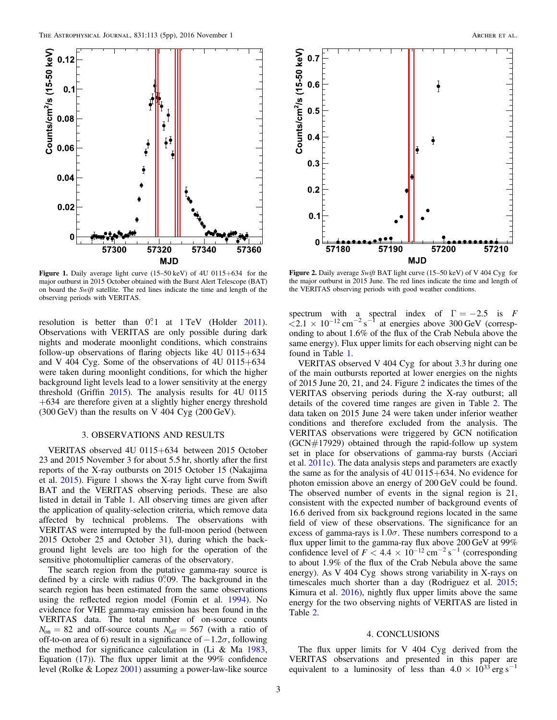<span id="page-3-0"></span>

Figure 1. Daily average light curve (15–50 keV) of 4U 0115+634 for the major outburst in 2015 October obtained with the Burst Alert Telescope (BAT) on board the Swift satellite. The red lines indicate the time and length of the observing periods with VERITAS.

resolution is better than  $0^{\circ}$ . at 1 TeV (Holder [2011](#page-5-30)). Observations with VERITAS are only possible during dark nights and moderate moonlight conditions, which constrains follow-up observations of flaring objects like  $4U\ 0115+634$ and V 404 Cyg. Some of the observations of 4U 0115+634 were taken during moonlight conditions, for which the higher background light levels lead to a lower sensitivity at the energy threshold (Griffin [2015](#page-5-31)). The analysis results for 4U 0115 +634 are therefore given at a slightly higher energy threshold  $(300 \,\text{GeV})$  than the results on V 404 Cyg  $(200 \,\text{GeV})$ .

#### 3. OBSERVATIONS AND RESULTS

VERITAS observed 4U 0115+634 between 2015 October 23 and 2015 November 3 for about 5.5 hr, shortly after the first reports of the X-ray outbursts on 2015 October 15 (Nakajima et al. [2015](#page-5-29)). Figure [1](#page-3-0) shows the X-ray light curve from Swift BAT and the VERITAS observing periods. These are also listed in detail in Table [1](#page-4-0). All observing times are given after the application of quality-selection criteria, which remove data affected by technical problems. The observations with VERITAS were interrupted by the full-moon period (between 2015 October 25 and October 31), during which the background light levels are too high for the operation of the sensitive photomultiplier cameras of the observatory.

The search region from the putative gamma-ray source is defined by a circle with radius  $0^{\circ}09$ . The background in the search region has been estimated from the same observations using the reflected region model (Fomin et al. [1994](#page-5-32)). No evidence for VHE gamma-ray emission has been found in the VERITAS data. The total number of on-source counts  $N_{on} = 82$  and off-source counts  $N_{off} = 567$  (with a ratio of off-to-on area of 6) result in a significance of  $-1.2\sigma$ , following the method for significance calculation in (Li & Ma  $1983$ , Equation (17)). The flux upper limit at the 99% confidence level (Rolke & Lopez [2001](#page-5-34)) assuming a power-law-like source

<span id="page-3-1"></span>

Figure 2. Daily average Swift BAT light curve (15–50 keV) of V 404 Cyg for the major outburst in 2015 June. The red lines indicate the time and length of the VERITAS observing periods with good weather conditions.

spectrum with a spectral index of  $\Gamma = -2.5$  is F  $\sim 2.1 \times 10^{-12} \text{ cm}^{-2} \text{ s}^{-1}$  at energies above 300 GeV (corresponding to about 1.6% of the flux of the Crab Nebula above the same energy). Flux upper limits for each observing night can be found in Table [1](#page-4-0).

VERITAS observed V 404 Cyg for about 3.3 hr during one of the main outbursts reported at lower energies on the nights of 2015 June 20, 21, and 24. Figure [2](#page-3-1) indicates the times of the VERITAS observing periods during the X-ray outburst; all details of the covered time ranges are given in Table [2](#page-4-1). The data taken on 2015 June 24 were taken under inferior weather conditions and therefore excluded from the analysis. The VERITAS observations were triggered by GCN notification  $(GCN#17929)$  obtained through the rapid-follow up system set in place for observations of gamma-ray bursts (Acciari et al. [2011c](#page-5-35)). The data analysis steps and parameters are exactly the same as for the analysis of 4U 0115+634. No evidence for photon emission above an energy of 200 GeV could be found. The observed number of events in the signal region is 21, consistent with the expected number of background events of 16.6 derived from six background regions located in the same field of view of these observations. The significance for an excess of gamma-rays is  $1.0\sigma$ . These numbers correspond to a flux upper limit to the gamma-ray flux above 200 GeV at 99% confidence level of  $F < 4.4 \times 10^{-12}$  cm<sup>-2</sup> s<sup>-1</sup> (corresponding to about 1.9% of the flux of the Crab Nebula above the same energy). As V 404 Cyg shows strong variability in X-rays on timescales much shorter than a day (Rodriguez et al. [2015](#page-5-36); Kimura et al. [2016](#page-5-37)), nightly flux upper limits above the same energy for the two observing nights of VERITAS are listed in Table [2.](#page-4-1)

#### 4. CONCLUSIONS

The flux upper limits for V 404 Cyg derived from the VERITAS observations and presented in this paper are equivalent to a luminosity of less than  $4.0 \times 10^{33}$  erg s<sup>-1</sup>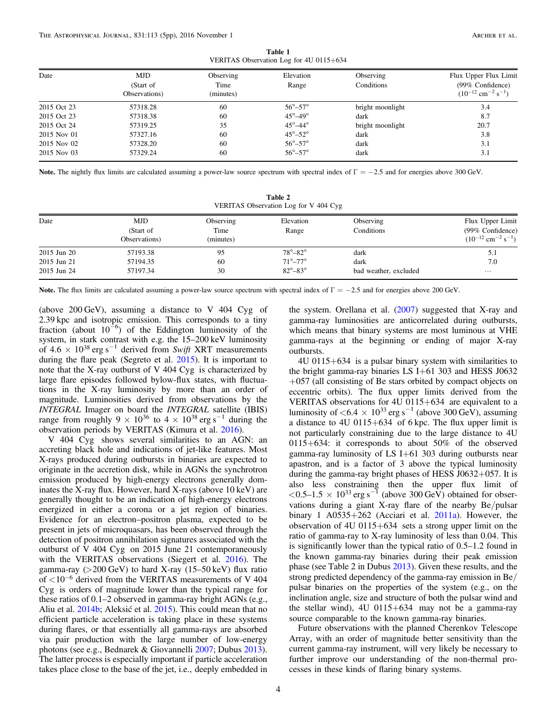Table 1 VERITAS Observation Log for 4U 0115+634

<span id="page-4-0"></span>

| Date        | <b>MJD</b>    | Observing | Elevation             | Observing        | Flux Upper Flux Limit                          |
|-------------|---------------|-----------|-----------------------|------------------|------------------------------------------------|
|             | (Start of     | Time      | Range                 | Conditions       | (99% Confidence)                               |
|             | Observations) | (minutes) |                       |                  | $(10^{-12}$ cm <sup>-2</sup> s <sup>-1</sup> ) |
| 2015 Oct 23 | 57318.28      | 60        | $56^\circ - 57^\circ$ | bright moonlight | 3.4                                            |
| 2015 Oct 23 | 57318.38      | 60        | $45^\circ - 49^\circ$ | dark             | 8.7                                            |
| 2015 Oct 24 | 57319.25      | 35        | $45^\circ - 44^\circ$ | bright moonlight | 20.7                                           |
| 2015 Nov 01 | 57327.16      | 60        | $45^\circ - 52^\circ$ | dark             | 3.8                                            |
| 2015 Nov 02 | 57328.20      | 60        | $56^\circ - 57^\circ$ | dark             | 3.1                                            |
| 2015 Nov 03 | 57329.24      | 60        | $56^\circ - 57^\circ$ | dark             | 3.1                                            |

<span id="page-4-1"></span>Note. The nightly flux limits are calculated assuming a power-law source spectrum with spectral index of  $\Gamma = -2.5$  and for energies above 300 GeV.

| Table 2 |                                       |  |  |  |  |  |  |  |
|---------|---------------------------------------|--|--|--|--|--|--|--|
|         | VERITAS Observation Log for V 404 Cyg |  |  |  |  |  |  |  |

| Date        | MJD<br>(Start of<br>Observations) | Observing<br>Time<br>(minutes) | Elevation<br>Range    | Observing<br>Conditions | Flux Upper Limit<br>(99% Confidence)<br>$(10^{-12}$ cm <sup>-2</sup> s <sup>-1</sup> ) |
|-------------|-----------------------------------|--------------------------------|-----------------------|-------------------------|----------------------------------------------------------------------------------------|
| 2015 Jun 20 | 57193.38                          | 95                             | $78^\circ - 82^\circ$ | dark                    | 5.1                                                                                    |
| 2015 Jun 21 | 57194.35                          | 60                             | $71^\circ - 77^\circ$ | dark                    | 7.0                                                                                    |
| 2015 Jun 24 | 57197.34                          | 30                             | $82^\circ - 83^\circ$ | bad weather, excluded   | $\cdots$                                                                               |

Note. The flux limits are calculated assuming a power-law source spectrum with spectral index of  $\Gamma = -2.5$  and for energies above 200 GeV.

(above 200 GeV), assuming a distance to V 404 Cyg of 2.39 kpc and isotropic emission. This corresponds to a tiny fraction (about  $10^{-6}$ ) of the Eddington luminosity of the system, in stark contrast with e.g. the 15–200 keV luminosity of  $4.6 \times 10^{38}$  erg s<sup>-1</sup> derived from Swift XRT measurements during the flare peak (Segreto et al. [2015](#page-5-20)). It is important to note that the X-ray outburst of V 404 Cyg is characterized by large flare episodes followed bylow-flux states, with fluctuations in the X-ray luminosity by more than an order of magnitude. Luminosities derived from observations by the INTEGRAL Imager on board the INTEGRAL satellite (IBIS) range from roughly 9  $\times$  10<sup>36</sup> to 4  $\times$  10<sup>38</sup> erg s<sup>-1</sup> during the observation periods by VERITAS (Kimura et al. [2016](#page-5-37)).

V 404 Cyg shows several similarities to an AGN: an accreting black hole and indications of jet-like features. Most X-rays produced during outbursts in binaries are expected to originate in the accretion disk, while in AGNs the synchrotron emission produced by high-energy electrons generally dominates the X-ray flux. However, hard X-rays (above 10 keV) are generally thought to be an indication of high-energy electrons energized in either a corona or a jet region of binaries. Evidence for an electron–positron plasma, expected to be present in jets of microquasars, has been observed through the detection of positron annihilation signatures associated with the outburst of V 404 Cyg on 2015 June 21 contemporaneously with the VERITAS observations (Siegert et al. [2016](#page-5-22)). The gamma-ray  $(>200 \text{ GeV})$  to hard X-ray  $(15-50 \text{ keV})$  flux ratio of  $< 10^{-6}$  derived from the VERITAS measurements of V 404 Cyg is orders of magnitude lower than the typical range for these ratios of 0.1–2 observed in gamma-ray bright AGNs (e.g., Aliu et al. [2014b;](#page-5-38) Aleksić et al. [2015](#page-5-39)). This could mean that no efficient particle acceleration is taking place in these systems during flares, or that essentially all gamma-rays are absorbed via pair production with the large number of low-energy photons (see e.g., Bednarek & Giovannelli [2007;](#page-5-40) Dubus [2013](#page-5-0)). The latter process is especially important if particle acceleration takes place close to the base of the jet, i.e., deeply embedded in

the system. Orellana et al.  $(2007)$  $(2007)$  $(2007)$  suggested that X-ray and gamma-ray luminosities are anticorrelated during outbursts, which means that binary systems are most luminous at VHE gamma-rays at the beginning or ending of major X-ray outbursts.

4U 0115+634 is a pulsar binary system with similarities to the bright gamma-ray binaries LS I+61 303 and HESS J0632 +057 (all consisting of Be stars orbited by compact objects on eccentric orbits). The flux upper limits derived from the VERITAS observations for 4U 0115+634 are equivalent to a luminosity of  $< 6.4 \times 10^{33}$  erg s<sup>-1</sup> (above 300 GeV), assuming a distance to 4U 0115+634 of 6 kpc. The flux upper limit is not particularly constraining due to the large distance to 4U 0115+634: it corresponds to about 50% of the observed gamma-ray luminosity of LS I+61 303 during outbursts near apastron, and is a factor of 3 above the typical luminosity during the gamma-ray bright phases of HESS J0632+057. It is also less constraining then the upper flux limit of  $< 0.5 - 1.5 \times 10^{33}$  erg s<sup>-1</sup> (above 300 GeV) obtained for observations during a giant X-ray flare of the nearby Be/pulsar binary 1 A0535+262 (Acciari et al. [2011a](#page-5-41)). However, the observation of 4U 0115+634 sets a strong upper limit on the ratio of gamma-ray to X-ray luminosity of less than 0.04. This is significantly lower than the typical ratio of 0.5–1.2 found in the known gamma-ray binaries during their peak emission phase (see Table 2 in Dubus [2013](#page-5-0)). Given these results, and the strong predicted dependency of the gamma-ray emission in Be/ pulsar binaries on the properties of the system (e.g., on the inclination angle, size and structure of both the pulsar wind and the stellar wind), 4U 0115+634 may not be a gamma-ray source comparable to the known gamma-ray binaries.

Future observations with the planned Cherenkov Telescope Array, with an order of magnitude better sensitivity than the current gamma-ray instrument, will very likely be necessary to further improve our understanding of the non-thermal processes in these kinds of flaring binary systems.